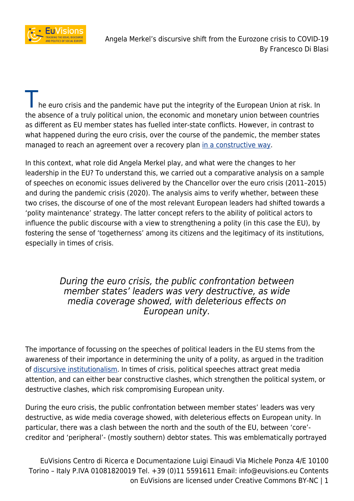

he euro crisis and the pandemic have put the integrity of the European Union at risk. In the absence of a truly political union, the economic and monetary union between countries as different as EU member states has fuelled inter-state conflicts. However, in contrast to what happened during the euro crisis, over the course of the pandemic, the member states managed to reach an agreement over a recovery plan [in a constructive way](http://www.euvisions.eu/walking-the-road-together-resolving-inter-state-conflicts-in-the-path-towards-the-ngeu-plan/).

In this context, what role did Angela Merkel play, and what were the changes to her leadership in the EU? To understand this, we carried out a comparative analysis on a sample of speeches on economic issues delivered by the Chancellor over the euro crisis (2011–2015) and during the pandemic crisis (2020). The analysis aims to verify whether, between these two crises, the discourse of one of the most relevant European leaders had shifted towards a 'polity maintenance' strategy. The latter concept refers to the ability of political actors to influence the public discourse with a view to strengthening a polity (in this case the EU), by fostering the sense of 'togetherness' among its citizens and the legitimacy of its institutions, especially in times of crisis.

## During the euro crisis, the public confrontation between member states' leaders was very destructive, as wide media coverage showed, with deleterious effects on European unity.

The importance of focussing on the speeches of political leaders in the EU stems from the awareness of their importance in determining the unity of a polity, as argued in the tradition of [discursive institutionalism](https://www.annualreviews.org/doi/abs/10.1146/annurev.polisci.11.060606.135342?casa_token=IbPQcRgrD60AAAAA:g1LPNk19z7213QdwgJ-A496gP4hsEo7NuxaLxpWgW2Iyprm6z7mrOb7vXGL2WVpW8jY4IQKndsec). In times of crisis, political speeches attract great media attention, and can either bear constructive clashes, which strengthen the political system, or destructive clashes, which risk compromising European unity.

During the euro crisis, the public confrontation between member states' leaders was very destructive, as wide media coverage showed, with deleterious effects on European unity. In particular, there was a clash between the north and the south of the EU, between 'core' creditor and 'peripheral'- (mostly southern) debtor states. This was emblematically portrayed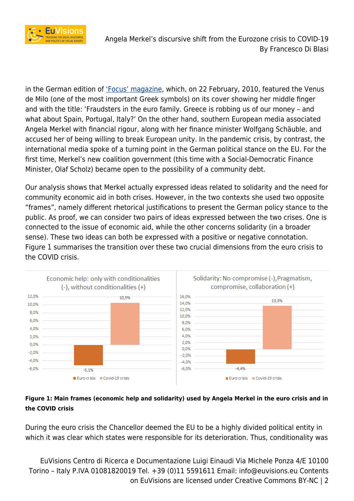

Angela Merkel's discursive shift from the Eurozone crisis to COVID-19 By Francesco Di Blasi

in the German edition of ['Focus' magazine](https://www.spiegel.de/international/europe/bird-trouble-angry-greeks-to-sue-german-magazine-for-defamation-a-758326.html), which, on 22 February, 2010, featured the Venus de Milo (one of the most important Greek symbols) on its cover showing her middle finger and with the title: 'Fraudsters in the euro family. Greece is robbing us of our money – and what about Spain, Portugal, Italy?' On the other hand, southern European media associated Angela Merkel with financial rigour, along with her finance minister Wolfgang Schäuble, and accused her of being willing to break European unity. In the pandemic crisis, by contrast, the international media spoke of a turning point in the German political stance on the EU. For the first time, Merkel's new coalition government (this time with a Social-Democratic Finance Minister, Olaf Scholz) became open to the possibility of a community debt.

Our analysis shows that Merkel actually expressed ideas related to solidarity and the need for community economic aid in both crises. However, in the two contexts she used two opposite "frames", namely different rhetorical justifications to present the German policy stance to the public. As proof, we can consider two pairs of ideas expressed between the two crises. One is connected to the issue of economic aid, while the other concerns solidarity (in a broader sense). These two ideas can both be expressed with a positive or negative connotation. Figure 1 summarises the transition over these two crucial dimensions from the euro crisis to the COVID crisis.



### **Figure 1: Main frames (economic help and solidarity) used by Angela Merkel in the euro crisis and in the COVID crisis**

During the euro crisis the Chancellor deemed the EU to be a highly divided political entity in which it was clear which states were responsible for its deterioration. Thus, conditionality was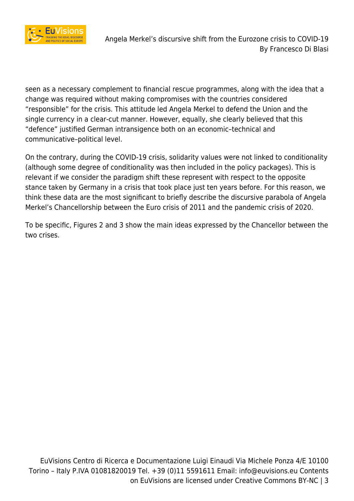

seen as a necessary complement to financial rescue programmes, along with the idea that a change was required without making compromises with the countries considered "responsible" for the crisis. This attitude led Angela Merkel to defend the Union and the single currency in a clear-cut manner. However, equally, she clearly believed that this "defence" justified German intransigence both on an economic–technical and communicative–political level.

On the contrary, during the COVID-19 crisis, solidarity values were not linked to conditionality (although some degree of conditionality was then included in the policy packages). This is relevant if we consider the paradigm shift these represent with respect to the opposite stance taken by Germany in a crisis that took place just ten years before. For this reason, we think these data are the most significant to briefly describe the discursive parabola of Angela Merkel's Chancellorship between the Euro crisis of 2011 and the pandemic crisis of 2020.

To be specific, Figures 2 and 3 show the main ideas expressed by the Chancellor between the two crises.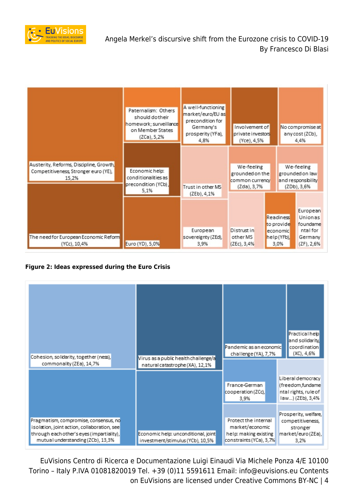

|                                                                                          | Paternalism: Others<br>should dotheir<br>homework; surveillance<br>on Member States<br>(ZCa), 5,2% | A well-functioning<br>market/euro/EU as<br>precondition for<br>Germany's<br>prosperity (YFa),<br>4,8% | Involvement of<br>private investors<br>(Yce), 4,5%              |                                                            | No compromise at<br>any cost (ZCb),<br>4,4%                             |
|------------------------------------------------------------------------------------------|----------------------------------------------------------------------------------------------------|-------------------------------------------------------------------------------------------------------|-----------------------------------------------------------------|------------------------------------------------------------|-------------------------------------------------------------------------|
| Austerity, Reforms, Discipline, Growth,<br>Competitiveness, Stronger euro (YE),<br>15,2% | Economic help:<br>conditionalities as<br>precondition (YCb),<br>5,1%                               | Trust in other MS<br>(ZEb), 4,1%                                                                      | We-feeling<br>grounded on the<br>common currency<br>(Zda), 3,7% |                                                            | We-feeling<br>grounded on law<br>and responsibility<br>(ZDb), 3,6%      |
| The need for European Economic Reform<br>(YCc), 10,4%                                    | Euro (YD), 5,0%                                                                                    | European<br>sovereignty (ZEd),<br>3,9%                                                                | Distrust in<br>other MS<br>(ZEc), 3,4%                          | Readiness<br>to provide<br>economic<br>help (YFb),<br>3.0% | European<br>Unionas<br>foundame<br>ntal for<br>Germany<br>$(ZF)$ , 2,6% |

#### **Figure 2: Ideas expressed during the Euro Crisis**

| Cohesion, solidarity, together (ness),                                                                                                                                 |                                                                         | Pandemic as an economic<br>challenge (YA), 7,7%                                             | Practical help<br>and solidarity.<br>coordination<br>(XC), 4,6%                   |  |
|------------------------------------------------------------------------------------------------------------------------------------------------------------------------|-------------------------------------------------------------------------|---------------------------------------------------------------------------------------------|-----------------------------------------------------------------------------------|--|
| commonality (ZEa), 14,7%                                                                                                                                               | Virus as a public health challenge/a<br>natural catastrophe (XA), 12,1% |                                                                                             |                                                                                   |  |
|                                                                                                                                                                        |                                                                         | France-German<br>cooperation (ZCc),<br>3,9%                                                 | Liberal democracy<br>(freedom,fundame<br>ntal rights, rule of<br>law) (ZEb), 3,4% |  |
| Pragmatism, compromise, consensus, no<br>isolation, joint action, collaboration, see<br>through each other's eyes (impartiality),<br>mutual understanding (ZCb), 13,3% | Economic help: unconditional, joint<br>investment/stimulus (YCb), 10,5% | Protect the internal<br>market/economic<br>help: making existing<br>constraints (YCa), 3,7% | Prosperity, welfare,<br>competitiveness,<br>stronger<br>market/euro(ZEa),<br>3,2% |  |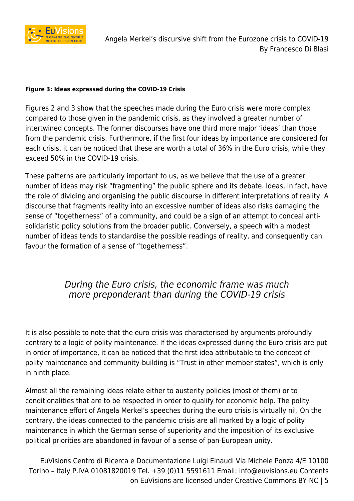

#### **Figure 3: Ideas expressed during the COVID-19 Crisis**

Figures 2 and 3 show that the speeches made during the Euro crisis were more complex compared to those given in the pandemic crisis, as they involved a greater number of intertwined concepts. The former discourses have one third more major 'ideas' than those from the pandemic crisis. Furthermore, if the first four ideas by importance are considered for each crisis, it can be noticed that these are worth a total of 36% in the Euro crisis, while they exceed 50% in the COVID-19 crisis.

These patterns are particularly important to us, as we believe that the use of a greater number of ideas may risk "fragmenting" the public sphere and its debate. Ideas, in fact, have the role of dividing and organising the public discourse in different interpretations of reality. A discourse that fragments reality into an excessive number of ideas also risks damaging the sense of "togetherness" of a community, and could be a sign of an attempt to conceal antisolidaristic policy solutions from the broader public. Conversely, a speech with a modest number of ideas tends to standardise the possible readings of reality, and consequently can favour the formation of a sense of "togetherness".

# During the Euro crisis, the economic frame was much more preponderant than during the COVID-19 crisis

It is also possible to note that the euro crisis was characterised by arguments profoundly contrary to a logic of polity maintenance. If the ideas expressed during the Euro crisis are put in order of importance, it can be noticed that the first idea attributable to the concept of polity maintenance and community-building is "Trust in other member states", which is only in ninth place.

Almost all the remaining ideas relate either to austerity policies (most of them) or to conditionalities that are to be respected in order to qualify for economic help. The polity maintenance effort of Angela Merkel's speeches during the euro crisis is virtually nil. On the contrary, the ideas connected to the pandemic crisis are all marked by a logic of polity maintenance in which the German sense of superiority and the imposition of its exclusive political priorities are abandoned in favour of a sense of pan-European unity.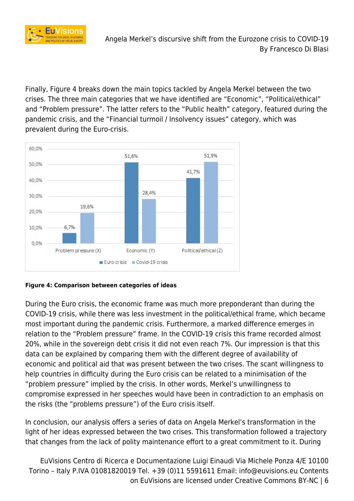

Finally, Figure 4 breaks down the main topics tackled by Angela Merkel between the two crises. The three main categories that we have identified are "Economic", "Political/ethical" and "Problem pressure". The latter refers to the "Public health" category, featured during the pandemic crisis, and the "Financial turmoil / Insolvency issues" category, which was prevalent during the Euro-crisis.



**Figure 4: Comparison between categories of ideas**

During the Euro crisis, the economic frame was much more preponderant than during the COVID-19 crisis, while there was less investment in the political/ethical frame, which became most important during the pandemic crisis. Furthermore, a marked difference emerges in relation to the "Problem pressure" frame. In the COVID-19 crisis this frame recorded almost 20%, while in the sovereign debt crisis it did not even reach 7%. Our impression is that this data can be explained by comparing them with the different degree of availability of economic and political aid that was present between the two crises. The scant willingness to help countries in difficulty during the Euro crisis can be related to a minimisation of the "problem pressure" implied by the crisis. In other words, Merkel's unwillingness to compromise expressed in her speeches would have been in contradiction to an emphasis on the risks (the "problems pressure") of the Euro crisis itself.

In conclusion, our analysis offers a series of data on Angela Merkel's transformation in the light of her ideas expressed between the two crises. This transformation followed a trajectory that changes from the lack of polity maintenance effort to a great commitment to it. During